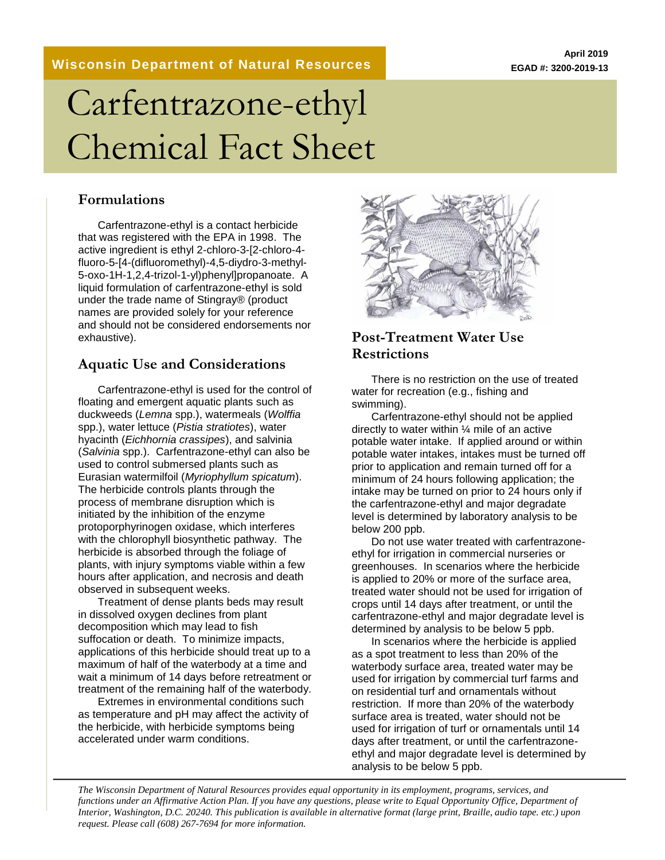#### **Wisconsin Department of Natural Resources**

# Carfentrazone-ethyl Chemical Fact Sheet

#### **Formulations**

Carfentrazone-ethyl is a contact herbicide that was registered with the EPA in 1998. The active ingredient is ethyl 2-chloro-3-[2-chloro-4 fluoro-5-[4-(difluoromethyl)-4,5-diydro-3-methyl-5-oxo-1H-1,2,4-trizol-1-yl)phenyl]propanoate. A liquid formulation of carfentrazone-ethyl is sold under the trade name of Stingray® (product names are provided solely for your reference and should not be considered endorsements nor exhaustive).

#### **Aquatic Use and Considerations**

Carfentrazone-ethyl is used for the control of floating and emergent aquatic plants such as duckweeds (*Lemna* spp.), watermeals (*Wolffia*  spp.), water lettuce (*Pistia stratiotes*), water hyacinth (*Eichhornia crassipes*), and salvinia (*Salvinia* spp.). Carfentrazone-ethyl can also be used to control submersed plants such as Eurasian watermilfoil (*Myriophyllum spicatum*). The herbicide controls plants through the process of membrane disruption which is initiated by the inhibition of the enzyme protoporphyrinogen oxidase, which interferes with the chlorophyll biosynthetic pathway. The herbicide is absorbed through the foliage of plants, with injury symptoms viable within a few hours after application, and necrosis and death observed in subsequent weeks.

Treatment of dense plants beds may result in dissolved oxygen declines from plant decomposition which may lead to fish suffocation or death. To minimize impacts, applications of this herbicide should treat up to a maximum of half of the waterbody at a time and wait a minimum of 14 days before retreatment or treatment of the remaining half of the waterbody.

Extremes in environmental conditions such as temperature and pH may affect the activity of the herbicide, with herbicide symptoms being accelerated under warm conditions.



### **Post-Treatment Water Use Restrictions**

There is no restriction on the use of treated water for recreation (e.g., fishing and swimming).

Carfentrazone-ethyl should not be applied directly to water within ¼ mile of an active potable water intake. If applied around or within potable water intakes, intakes must be turned off prior to application and remain turned off for a minimum of 24 hours following application; the intake may be turned on prior to 24 hours only if the carfentrazone-ethyl and major degradate level is determined by laboratory analysis to be below 200 ppb.

Do not use water treated with carfentrazoneethyl for irrigation in commercial nurseries or greenhouses. In scenarios where the herbicide is applied to 20% or more of the surface area, treated water should not be used for irrigation of crops until 14 days after treatment, or until the carfentrazone-ethyl and major degradate level is determined by analysis to be below 5 ppb.

In scenarios where the herbicide is applied as a spot treatment to less than 20% of the waterbody surface area, treated water may be used for irrigation by commercial turf farms and on residential turf and ornamentals without restriction. If more than 20% of the waterbody surface area is treated, water should not be used for irrigation of turf or ornamentals until 14 days after treatment, or until the carfentrazoneethyl and major degradate level is determined by analysis to be below 5 ppb.

*The Wisconsin Department of Natural Resources provides equal opportunity in its employment, programs, services, and functions under an Affirmative Action Plan. If you have any questions, please write to Equal Opportunity Office, Department of Interior, Washington, D.C. 20240. This publication is available in alternative format (large print, Braille, audio tape. etc.) upon request. Please call (608) 267-7694 for more information.*